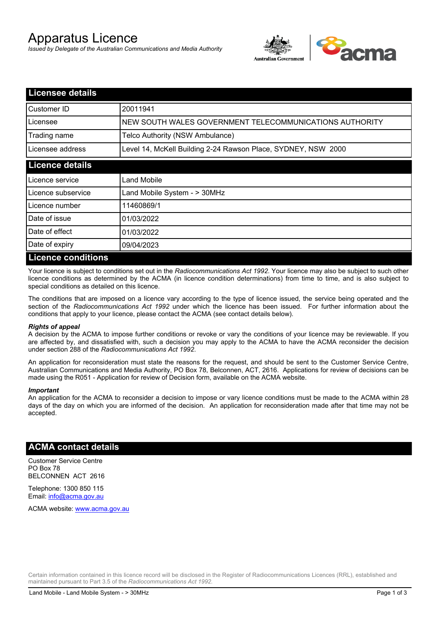# Apparatus Licence

*Issued by Delegate of the Australian Communications and Media Authority*



| <b>Licensee details</b>   |                                                               |
|---------------------------|---------------------------------------------------------------|
| Customer ID               | 20011941                                                      |
| Licensee                  | NEW SOUTH WALES GOVERNMENT TELECOMMUNICATIONS AUTHORITY       |
| Trading name              | Telco Authority (NSW Ambulance)                               |
| Licensee address          | Level 14, McKell Building 2-24 Rawson Place, SYDNEY, NSW 2000 |
| <b>Licence details</b>    |                                                               |
| Licence service           | Land Mobile                                                   |
| Licence subservice        | Land Mobile System - > 30MHz                                  |
| Licence number            | 11460869/1                                                    |
| Date of issue             | 01/03/2022                                                    |
| Date of effect            | 01/03/2022                                                    |
| Date of expiry            | 09/04/2023                                                    |
| <b>Licence conditions</b> |                                                               |

Your licence is subject to conditions set out in the *Radiocommunications Act 1992*. Your licence may also be subject to such other licence conditions as determined by the ACMA (in licence condition determinations) from time to time, and is also subject to special conditions as detailed on this licence.

The conditions that are imposed on a licence vary according to the type of licence issued, the service being operated and the section of the *Radiocommunications Act 1992* under which the licence has been issued. For further information about the conditions that apply to your licence, please contact the ACMA (see contact details below).

#### *Rights of appeal*

A decision by the ACMA to impose further conditions or revoke or vary the conditions of your licence may be reviewable. If you are affected by, and dissatisfied with, such a decision you may apply to the ACMA to have the ACMA reconsider the decision under section 288 of the *Radiocommunications Act 1992*.

An application for reconsideration must state the reasons for the request, and should be sent to the Customer Service Centre, Australian Communications and Media Authority, PO Box 78, Belconnen, ACT, 2616. Applications for review of decisions can be made using the R051 - Application for review of Decision form, available on the ACMA website.

#### *Important*

An application for the ACMA to reconsider a decision to impose or vary licence conditions must be made to the ACMA within 28 days of the day on which you are informed of the decision. An application for reconsideration made after that time may not be accepted.

#### **ACMA contact details**

Customer Service Centre PO Box 78 BELCONNEN ACT 2616

Telephone: 1300 850 115 Email: info@acma.gov.au

ACMA website: www.acma.gov.au

Certain information contained in this licence record will be disclosed in the Register of Radiocommunications Licences (RRL), established and maintained pursuant to Part 3.5 of the *Radiocommunications Act 1992.*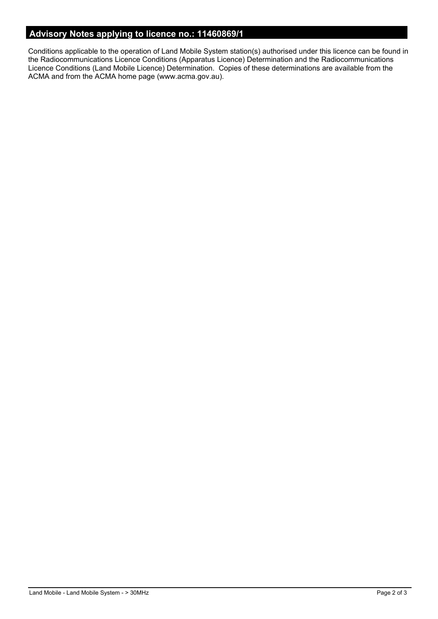### **Advisory Notes applying to licence no.: 11460869/1**

Conditions applicable to the operation of Land Mobile System station(s) authorised under this licence can be found in the Radiocommunications Licence Conditions (Apparatus Licence) Determination and the Radiocommunications Licence Conditions (Land Mobile Licence) Determination. Copies of these determinations are available from the ACMA and from the ACMA home page (www.acma.gov.au).